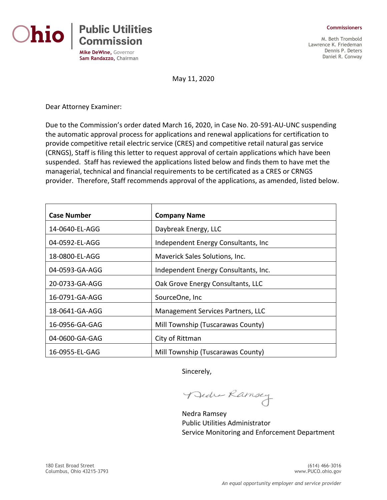



M. Beth Trombold Lawrence K. Friedeman Dennis P. Deters Daniel R. Conway

May 11, 2020

Dear Attorney Examiner:

Due to the Commission's order dated March 16, 2020, in Case No. 20-591-AU-UNC suspending the automatic approval process for applications and renewal applications for certification to provide competitive retail electric service (CRES) and competitive retail natural gas service (CRNGS), Staff is filing this letter to request approval of certain applications which have been suspended. Staff has reviewed the applications listed below and finds them to have met the managerial, technical and financial requirements to be certificated as a CRES or CRNGS provider. Therefore, Staff recommends approval of the applications, as amended, listed below.

| <b>Case Number</b> | <b>Company Name</b>                  |
|--------------------|--------------------------------------|
| 14-0640-EL-AGG     | Daybreak Energy, LLC                 |
| 04-0592-EL-AGG     | Independent Energy Consultants, Inc. |
| 18-0800-EL-AGG     | Maverick Sales Solutions, Inc.       |
| 04-0593-GA-AGG     | Independent Energy Consultants, Inc. |
| 20-0733-GA-AGG     | Oak Grove Energy Consultants, LLC    |
| 16-0791-GA-AGG     | SourceOne, Inc                       |
| 18-0641-GA-AGG     | Management Services Partners, LLC    |
| 16-0956-GA-GAG     | Mill Township (Tuscarawas County)    |
| 04-0600-GA-GAG     | City of Rittman                      |
| 16-0955-EL-GAG     | Mill Township (Tuscarawas County)    |

Sincerely,

Bedra Ramsey

Nedra Ramsey Public Utilities Administrator Service Monitoring and Enforcement Department